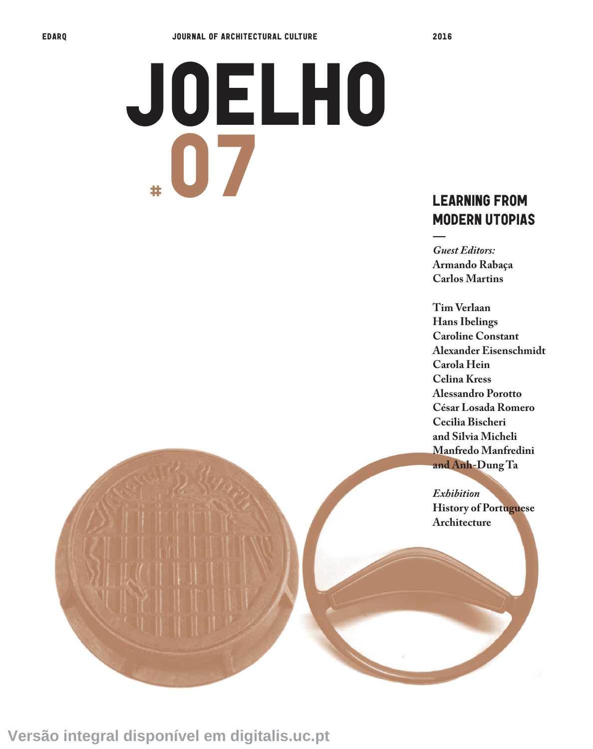## JOELHO # 07

## MODERN UTOPIAS

*Guest Editors:*  **Armando Rabaça Carlos Martins**

**——**

**Tim Verlaan Hans Ibelings Caroline Constant Alexander Eisenschmidt Carola Hein Celina Kress Alessandro Porotto César Losada Romero Cecilia Bischeri and Silvia Micheli Manfredo Manfredini and Anh-Dung Ta** 

*Exhibition* **History of Portuguese Architecture**

**Versão integral disponível em digitalis.uc.pt**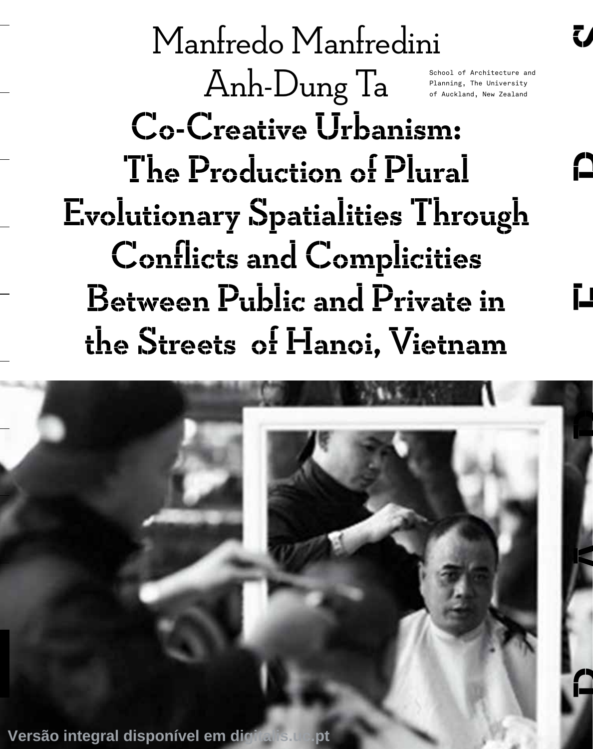Manfredo Manfredini Anh-Dung Ta Co-Creative Urbanism: The Production of Plural Evolutionary Spatialities Through Conflicts and Complicities Between Public and Private in the Streets of Hanoi, Vietnam School of Architecture and Planning, The University of Auckland, New Zealand

A

Ľ